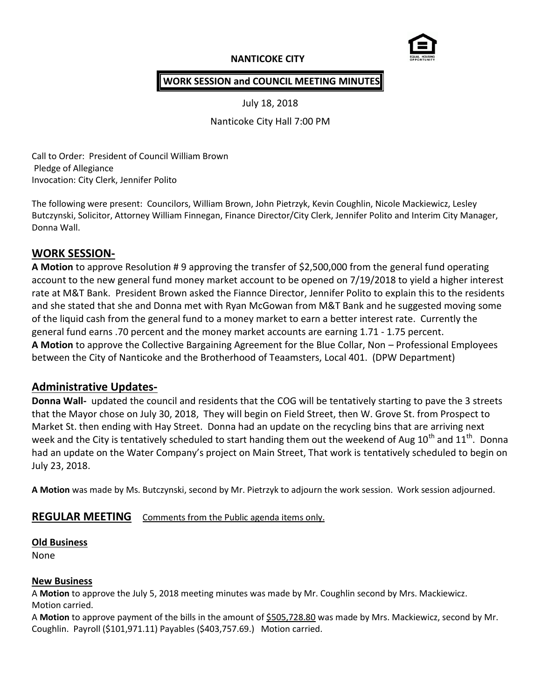# **NANTICOKE CITY**



## **WORK SESSION and COUNCIL MEETING MINUTES**

July 18, 2018

Nanticoke City Hall 7:00 PM

Call to Order: President of Council William Brown Pledge of Allegiance Invocation: City Clerk, Jennifer Polito

The following were present: Councilors, William Brown, John Pietrzyk, Kevin Coughlin, Nicole Mackiewicz, Lesley Butczynski, Solicitor, Attorney William Finnegan, Finance Director/City Clerk, Jennifer Polito and Interim City Manager, Donna Wall.

## **WORK SESSION-**

**A Motion** to approve Resolution # 9 approving the transfer of \$2,500,000 from the general fund operating account to the new general fund money market account to be opened on 7/19/2018 to yield a higher interest rate at M&T Bank. President Brown asked the Fiannce Director, Jennifer Polito to explain this to the residents and she stated that she and Donna met with Ryan McGowan from M&T Bank and he suggested moving some of the liquid cash from the general fund to a money market to earn a better interest rate. Currently the general fund earns .70 percent and the money market accounts are earning 1.71 - 1.75 percent. **A Motion** to approve the Collective Bargaining Agreement for the Blue Collar, Non – Professional Employees between the City of Nanticoke and the Brotherhood of Teaamsters, Local 401. (DPW Department)

# **Administrative Updates-**

**Donna Wall-** updated the council and residents that the COG will be tentatively starting to pave the 3 streets that the Mayor chose on July 30, 2018, They will begin on Field Street, then W. Grove St. from Prospect to Market St. then ending with Hay Street. Donna had an update on the recycling bins that are arriving next week and the City is tentatively scheduled to start handing them out the weekend of Aug  $10^{th}$  and  $11^{th}$ . Donna had an update on the Water Company's project on Main Street, That work is tentatively scheduled to begin on July 23, 2018.

**A Motion** was made by Ms. Butczynski, second by Mr. Pietrzyk to adjourn the work session. Work session adjourned.

# **REGULAR MEETING** Comments from the Public agenda items only.

#### **Old Business**

None

#### **New Business**

A **Motion** to approve the July 5, 2018 meeting minutes was made by Mr. Coughlin second by Mrs. Mackiewicz. Motion carried.

A Motion to approve payment of the bills in the amount of \$505,728.80 was made by Mrs. Mackiewicz, second by Mr. Coughlin. Payroll (\$101,971.11) Payables (\$403,757.69.) Motion carried.